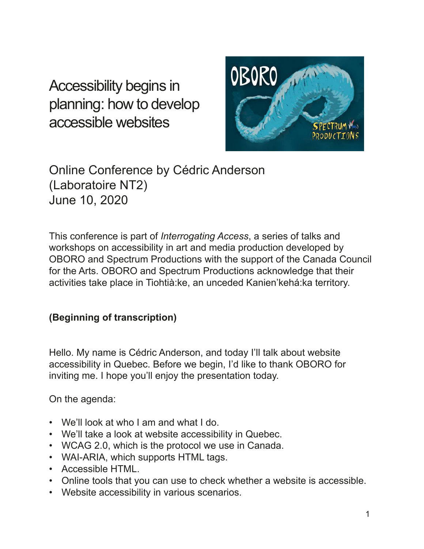Accessibility begins in planning: how to develop accessible websites



Online Conference by Cédric Anderson (Laboratoire NT2) June 10, 2020

This conference is part of *Interrogating Access*, a series of talks and workshops on accessibility in art and media production developed by OBORO and Spectrum Productions with the support of the Canada Council for the Arts. OBORO and Spectrum Productions acknowledge that their activities take place in Tiohtià:ke, an unceded Kanien'kehá:ka territory.

## **(Beginning of transcription)**

Hello. My name is Cédric Anderson, and today I'll talk about website accessibility in Quebec. Before we begin, I'd like to thank OBORO for inviting me. I hope you'll enjoy the presentation today.

On the agenda:

- We'll look at who I am and what I do.
- We'll take a look at website accessibility in Quebec.
- WCAG 2.0, which is the protocol we use in Canada.
- WAI-ARIA, which supports HTML tags.
- Accessible HTML.
- Online tools that you can use to check whether a website is accessible.
- Website accessibility in various scenarios.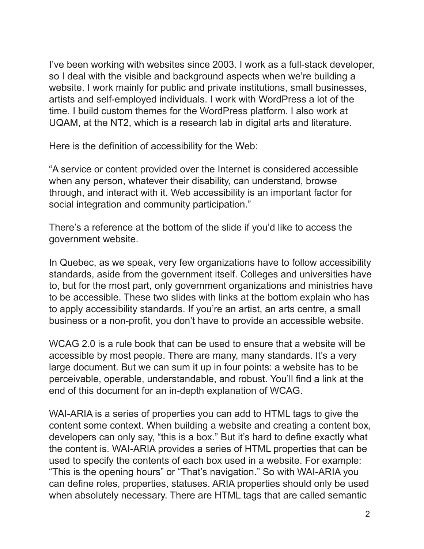I've been working with websites since 2003. I work as a full-stack developer, so I deal with the visible and background aspects when we're building a website. I work mainly for public and private institutions, small businesses, artists and self-employed individuals. I work with WordPress a lot of the time. I build custom themes for the WordPress platform. I also work at UQAM, at the NT2, which is a research lab in digital arts and literature.

Here is the definition of accessibility for the Web:

"A service or content provided over the Internet is considered accessible when any person, whatever their disability, can understand, browse through, and interact with it. Web accessibility is an important factor for social integration and community participation."

There's a reference at the bottom of the slide if you'd like to access the government website.

In Quebec, as we speak, very few organizations have to follow accessibility standards, aside from the government itself. Colleges and universities have to, but for the most part, only government organizations and ministries have to be accessible. These two slides with links at the bottom explain who has to apply accessibility standards. If you're an artist, an arts centre, a small business or a non-profit, you don't have to provide an accessible website.

WCAG 2.0 is a rule book that can be used to ensure that a website will be accessible by most people. There are many, many standards. It's a very large document. But we can sum it up in four points: a website has to be perceivable, operable, understandable, and robust. You'll find a link at the end of this document for an in-depth explanation of WCAG.

WAI-ARIA is a series of properties you can add to HTML tags to give the content some context. When building a website and creating a content box, developers can only say, "this is a box." But it's hard to defne exactly what the content is. WAI-ARIA provides a series of HTML properties that can be used to specify the contents of each box used in a website. For example: "This is the opening hours" or "That's navigation." So with WAI-ARIA you can defne roles, properties, statuses. ARIA properties should only be used when absolutely necessary. There are HTML tags that are called semantic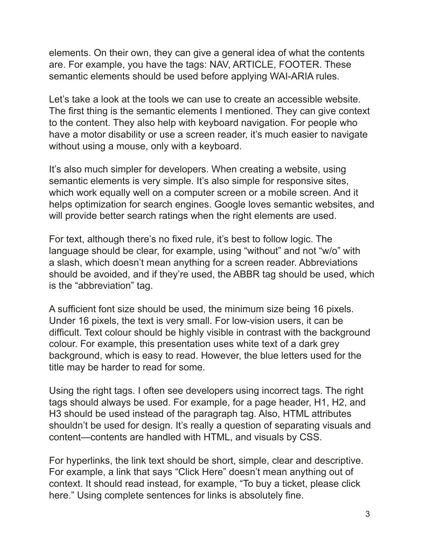elements. On their own, they can give a general idea of what the contents are. For example, you have the tags: NAV, ARTICLE, FOOTER. These semantic elements should be used before applying WAI-ARIA rules.

Let's take a look at the tools we can use to create an accessible website. The first thing is the semantic elements I mentioned. They can give context to the content. They also help with keyboard navigation. For people who have a motor disability or use a screen reader, it's much easier to navigate without using a mouse, only with a keyboard.

It's also much simpler for developers. When creating a website, using semantic elements is very simple. It's also simple for responsive sites, which work equally well on a computer screen or a mobile screen. And it helps optimization for search engines. Google loves semantic websites, and will provide better search ratings when the right elements are used.

For text, although there's no fxed rule, it's best to follow logic. The language should be clear, for example, using "without" and not "w/o" with a slash, which doesn't mean anything for a screen reader. Abbreviations should be avoided, and if they're used, the ABBR tag should be used, which is the "abbreviation" tag.

A sufficient font size should be used, the minimum size being 16 pixels. Under 16 pixels, the text is very small. For low-vision users, it can be difficult. Text colour should be highly visible in contrast with the background colour. For example, this presentation uses white text of a dark grey background, which is easy to read. However, the blue letters used for the title may be harder to read for some.

Using the right tags. I often see developers using incorrect tags. The right tags should always be used. For example, for a page header, H1, H2, and H3 should be used instead of the paragraph tag. Also, HTML attributes shouldn't be used for design. It's really a question of separating visuals and content—contents are handled with HTML, and visuals by CSS.

For hyperlinks, the link text should be short, simple, clear and descriptive. For example, a link that says "Click Here" doesn't mean anything out of context. It should read instead, for example, "To buy a ticket, please click here." Using complete sentences for links is absolutely fine.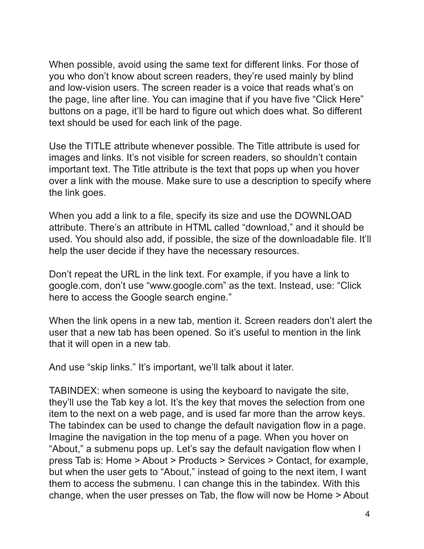When possible, avoid using the same text for different links. For those of you who don't know about screen readers, they're used mainly by blind and low-vision users. The screen reader is a voice that reads what's on the page, line after line. You can imagine that if you have five "Click Here" buttons on a page, it'll be hard to figure out which does what. So different text should be used for each link of the page.

Use the TITLE attribute whenever possible. The Title attribute is used for images and links. It's not visible for screen readers, so shouldn't contain important text. The Title attribute is the text that pops up when you hover over a link with the mouse. Make sure to use a description to specify where the link goes.

When you add a link to a file, specify its size and use the DOWNLOAD attribute. There's an attribute in HTML called "download," and it should be used. You should also add, if possible, the size of the downloadable fle. It'll help the user decide if they have the necessary resources.

Don't repeat the URL in the link text. For example, if you have a link to google.com, don't use "www.google.com" as the text. Instead, use: "Click here to access the Google search engine."

When the link opens in a new tab, mention it. Screen readers don't alert the user that a new tab has been opened. So it's useful to mention in the link that it will open in a new tab.

And use "skip links." It's important, we'll talk about it later.

TABINDEX: when someone is using the keyboard to navigate the site, they'll use the Tab key a lot. It's the key that moves the selection from one item to the next on a web page, and is used far more than the arrow keys. The tabindex can be used to change the default navigation flow in a page. Imagine the navigation in the top menu of a page. When you hover on "About," a submenu pops up. Let's say the default navigation fow when I press Tab is: Home > About > Products > Services > Contact, for example, but when the user gets to "About," instead of going to the next item, I want them to access the submenu. I can change this in the tabindex. With this change, when the user presses on Tab, the flow will now be Home > About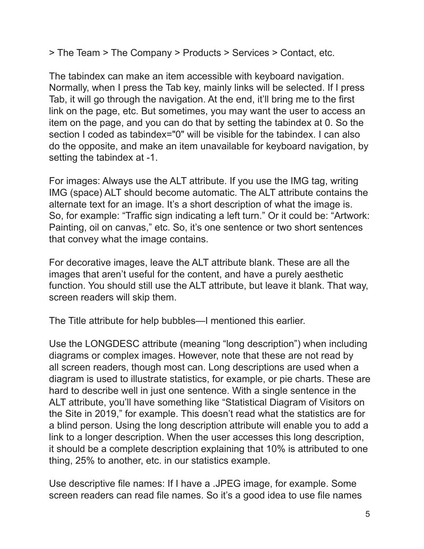> The Team > The Company > Products > Services > Contact, etc.

The tabindex can make an item accessible with keyboard navigation. Normally, when I press the Tab key, mainly links will be selected. If I press Tab, it will go through the navigation. At the end, it'll bring me to the frst link on the page, etc. But sometimes, you may want the user to access an item on the page, and you can do that by setting the tabindex at 0. So the section I coded as tabindex="0" will be visible for the tabindex. I can also do the opposite, and make an item unavailable for keyboard navigation, by setting the tabindex at -1.

For images: Always use the ALT attribute. If you use the IMG tag, writing IMG (space) ALT should become automatic. The ALT attribute contains the alternate text for an image. It's a short description of what the image is. So, for example: "Traffic sign indicating a left turn." Or it could be: "Artwork: Painting, oil on canvas," etc. So, it's one sentence or two short sentences that convey what the image contains.

For decorative images, leave the ALT attribute blank. These are all the images that aren't useful for the content, and have a purely aesthetic function. You should still use the ALT attribute, but leave it blank. That way, screen readers will skip them.

The Title attribute for help bubbles—I mentioned this earlier.

Use the LONGDESC attribute (meaning "long description") when including diagrams or complex images. However, note that these are not read by all screen readers, though most can. Long descriptions are used when a diagram is used to illustrate statistics, for example, or pie charts. These are hard to describe well in just one sentence. With a single sentence in the ALT attribute, you'll have something like "Statistical Diagram of Visitors on the Site in 2019," for example. This doesn't read what the statistics are for a blind person. Using the long description attribute will enable you to add a link to a longer description. When the user accesses this long description, it should be a complete description explaining that 10% is attributed to one thing, 25% to another, etc. in our statistics example.

Use descriptive fle names: If I have a .JPEG image, for example. Some screen readers can read file names. So it's a good idea to use file names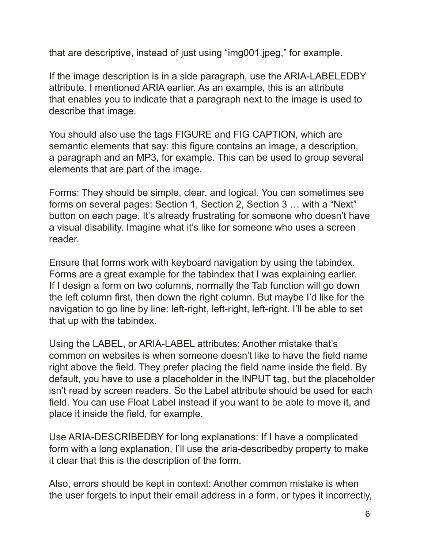that are descriptive, instead of just using "img001.jpeg," for example.

If the image description is in a side paragraph, use the ARIA-LABELEDBY attribute. I mentioned ARIA earlier. As an example, this is an attribute that enables you to indicate that a paragraph next to the image is used to describe that image.

You should also use the tags FIGURE and FIG CAPTION, which are semantic elements that say: this figure contains an image, a description, a paragraph and an MP3, for example. This can be used to group several elements that are part of the image.

Forms: They should be simple, clear, and logical. You can sometimes see forms on several pages: Section 1, Section 2, Section 3 … with a "Next" button on each page. It's already frustrating for someone who doesn't have a visual disability. Imagine what it's like for someone who uses a screen reader.

Ensure that forms work with keyboard navigation by using the tabindex. Forms are a great example for the tabindex that I was explaining earlier. If I design a form on two columns, normally the Tab function will go down the left column frst, then down the right column. But maybe I'd like for the navigation to go line by line: left-right, left-right, left-right. I'll be able to set that up with the tabindex.

Using the LABEL, or ARIA-LABEL attributes: Another mistake that's common on websites is when someone doesn't like to have the field name right above the field. They prefer placing the field name inside the field. By default, you have to use a placeholder in the INPUT tag, but the placeholder isn't read by screen readers. So the Label attribute should be used for each feld. You can use Float Label instead if you want to be able to move it, and place it inside the field, for example.

Use ARIA-DESCRIBEDBY for long explanations: If I have a complicated form with a long explanation, I'll use the aria-describedby property to make it clear that this is the description of the form.

Also, errors should be kept in context: Another common mistake is when the user forgets to input their email address in a form, or types it incorrectly,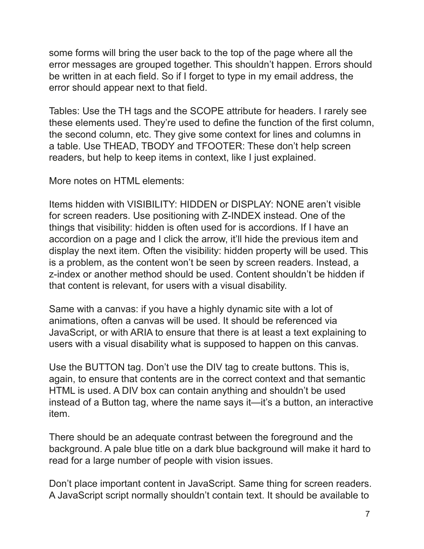some forms will bring the user back to the top of the page where all the error messages are grouped together. This shouldn't happen. Errors should be written in at each field. So if I forget to type in my email address, the error should appear next to that field.

Tables: Use the TH tags and the SCOPE attribute for headers. I rarely see these elements used. They're used to define the function of the first column, the second column, etc. They give some context for lines and columns in a table. Use THEAD, TBODY and TFOOTER: These don't help screen readers, but help to keep items in context, like I just explained.

More notes on HTML elements:

Items hidden with VISIBILITY: HIDDEN or DISPLAY: NONE aren't visible for screen readers. Use positioning with Z-INDEX instead. One of the things that visibility: hidden is often used for is accordions. If I have an accordion on a page and I click the arrow, it'll hide the previous item and display the next item. Often the visibility: hidden property will be used. This is a problem, as the content won't be seen by screen readers. Instead, a z-index or another method should be used. Content shouldn't be hidden if that content is relevant, for users with a visual disability.

Same with a canvas: if you have a highly dynamic site with a lot of animations, often a canvas will be used. It should be referenced via JavaScript, or with ARIA to ensure that there is at least a text explaining to users with a visual disability what is supposed to happen on this canvas.

Use the BUTTON tag. Don't use the DIV tag to create buttons. This is, again, to ensure that contents are in the correct context and that semantic HTML is used. A DIV box can contain anything and shouldn't be used instead of a Button tag, where the name says it—it's a button, an interactive item.

There should be an adequate contrast between the foreground and the background. A pale blue title on a dark blue background will make it hard to read for a large number of people with vision issues.

Don't place important content in JavaScript. Same thing for screen readers. A JavaScript script normally shouldn't contain text. It should be available to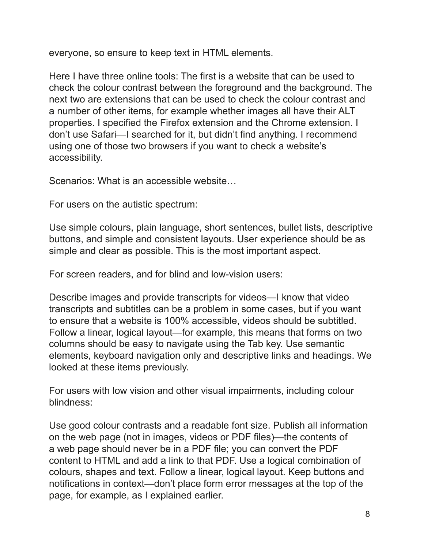everyone, so ensure to keep text in HTML elements.

Here I have three online tools: The frst is a website that can be used to check the colour contrast between the foreground and the background. The next two are extensions that can be used to check the colour contrast and a number of other items, for example whether images all have their ALT properties. I specifed the Firefox extension and the Chrome extension. I don't use Safari—I searched for it, but didn't fnd anything. I recommend using one of those two browsers if you want to check a website's accessibility.

Scenarios: What is an accessible website…

For users on the autistic spectrum:

Use simple colours, plain language, short sentences, bullet lists, descriptive buttons, and simple and consistent layouts. User experience should be as simple and clear as possible. This is the most important aspect.

For screen readers, and for blind and low-vision users:

Describe images and provide transcripts for videos—I know that video transcripts and subtitles can be a problem in some cases, but if you want to ensure that a website is 100% accessible, videos should be subtitled. Follow a linear, logical layout—for example, this means that forms on two columns should be easy to navigate using the Tab key. Use semantic elements, keyboard navigation only and descriptive links and headings. We looked at these items previously.

For users with low vision and other visual impairments, including colour blindness:

Use good colour contrasts and a readable font size. Publish all information on the web page (not in images, videos or PDF fles)—the contents of a web page should never be in a PDF fle; you can convert the PDF content to HTML and add a link to that PDF. Use a logical combination of colours, shapes and text. Follow a linear, logical layout. Keep buttons and notifcations in context—don't place form error messages at the top of the page, for example, as I explained earlier.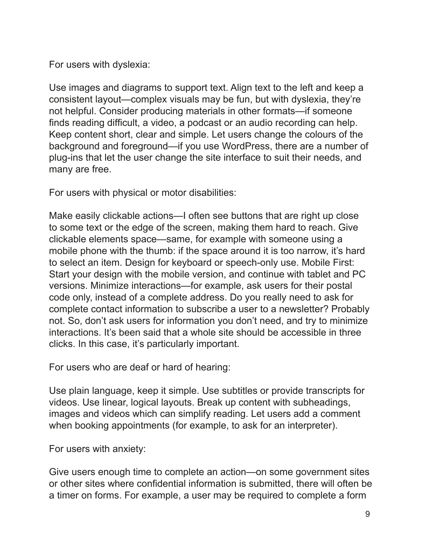For users with dyslexia:

Use images and diagrams to support text. Align text to the left and keep a consistent layout—complex visuals may be fun, but with dyslexia, they're not helpful. Consider producing materials in other formats—if someone finds reading difficult, a video, a podcast or an audio recording can help. Keep content short, clear and simple. Let users change the colours of the background and foreground—if you use WordPress, there are a number of plug-ins that let the user change the site interface to suit their needs, and many are free.

For users with physical or motor disabilities:

Make easily clickable actions—I often see buttons that are right up close to some text or the edge of the screen, making them hard to reach. Give clickable elements space—same, for example with someone using a mobile phone with the thumb: if the space around it is too narrow, it's hard to select an item. Design for keyboard or speech-only use. Mobile First: Start your design with the mobile version, and continue with tablet and PC versions. Minimize interactions—for example, ask users for their postal code only, instead of a complete address. Do you really need to ask for complete contact information to subscribe a user to a newsletter? Probably not. So, don't ask users for information you don't need, and try to minimize interactions. It's been said that a whole site should be accessible in three clicks. In this case, it's particularly important.

For users who are deaf or hard of hearing:

Use plain language, keep it simple. Use subtitles or provide transcripts for videos. Use linear, logical layouts. Break up content with subheadings, images and videos which can simplify reading. Let users add a comment when booking appointments (for example, to ask for an interpreter).

For users with anxiety:

Give users enough time to complete an action—on some government sites or other sites where confdential information is submitted, there will often be a timer on forms. For example, a user may be required to complete a form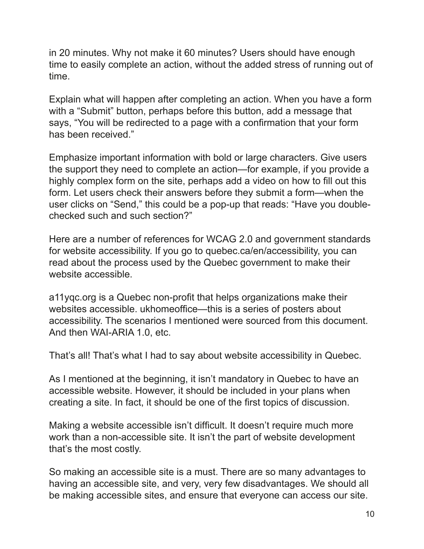in 20 minutes. Why not make it 60 minutes? Users should have enough time to easily complete an action, without the added stress of running out of time.

Explain what will happen after completing an action. When you have a form with a "Submit" button, perhaps before this button, add a message that says, "You will be redirected to a page with a confrmation that your form has been received."

Emphasize important information with bold or large characters. Give users the support they need to complete an action—for example, if you provide a highly complex form on the site, perhaps add a video on how to fill out this form. Let users check their answers before they submit a form—when the user clicks on "Send," this could be a pop-up that reads: "Have you doublechecked such and such section?"

Here are a number of references for WCAG 2.0 and government standards for website accessibility. If you go to quebec.ca/en/accessibility, you can read about the process used by the Quebec government to make their website accessible.

a11ygc.org is a Quebec non-profit that helps organizations make their websites accessible. ukhomeoffice—this is a series of posters about accessibility. The scenarios I mentioned were sourced from this document. And then WAI-ARIA 1.0, etc.

That's all! That's what I had to say about website accessibility in Quebec.

As I mentioned at the beginning, it isn't mandatory in Quebec to have an accessible website. However, it should be included in your plans when creating a site. In fact, it should be one of the frst topics of discussion.

Making a website accessible isn't difficult. It doesn't require much more work than a non-accessible site. It isn't the part of website development that's the most costly.

So making an accessible site is a must. There are so many advantages to having an accessible site, and very, very few disadvantages. We should all be making accessible sites, and ensure that everyone can access our site.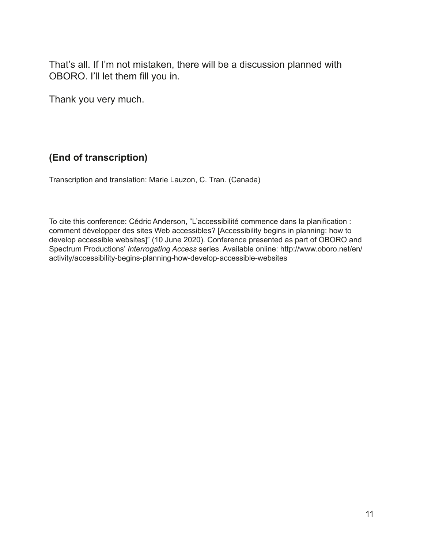That's all. If I'm not mistaken, there will be a discussion planned with OBORO. I'll let them fill you in.

Thank you very much.

## **(End of transcription)**

Transcription and translation: Marie Lauzon, C. Tran. (Canada)

To cite this conference: Cédric Anderson, "L'accessibilité commence dans la planifcation : comment développer des sites Web accessibles? [Accessibility begins in planning: how to develop accessible websites]" (10 June 2020). Conference presented as part of OBORO and Spectrum Productions' *Interrogating Access* series. Available online: http://www.oboro.net/en/ activity/accessibility-begins-planning-how-develop-accessible-websites